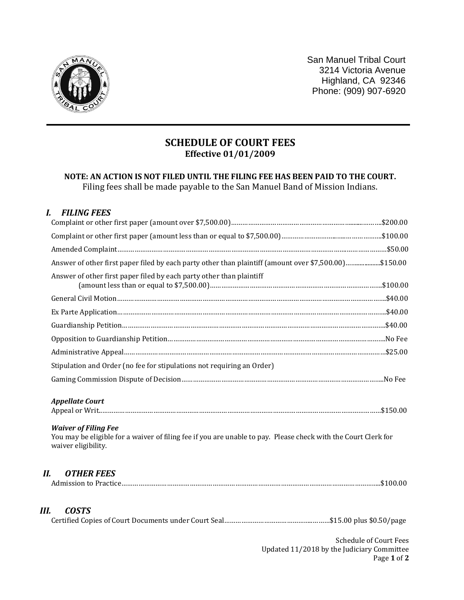

San Manuel Tribal Court 3214 Victoria Avenue Highland, CA 92346 Phone: (909) 907-6920

## **SCHEDULE OF COURT FEES Effective 01/01/2009**

## **NOTE: AN ACTION IS NOT FILED UNTIL THE FILING FEE HAS BEEN PAID TO THE COURT.** Filing fees shall be made payable to the San Manuel Band of Mission Indians.

## *I. FILING FEES*

| Answer of other first paper filed by each party other than plaintiff (amount over \$7,500.00)\$150.00                                                                |                         |
|----------------------------------------------------------------------------------------------------------------------------------------------------------------------|-------------------------|
| Answer of other first paper filed by each party other than plaintiff                                                                                                 |                         |
|                                                                                                                                                                      |                         |
|                                                                                                                                                                      |                         |
|                                                                                                                                                                      |                         |
|                                                                                                                                                                      |                         |
|                                                                                                                                                                      |                         |
| Stipulation and Order (no fee for stipulations not requiring an Order)                                                                                               |                         |
|                                                                                                                                                                      |                         |
| <b>Appellate Court</b>                                                                                                                                               |                         |
| <b>Waiver of Filing Fee</b><br>You may be eligible for a waiver of filing fee if you are unable to pay. Please check with the Court Clerk for<br>waiver eligibility. |                         |
| <b>OTHER FEES</b><br>Н.                                                                                                                                              |                         |
| <b>COSTS</b><br>Ш.                                                                                                                                                   |                         |
|                                                                                                                                                                      | Cahadrile of Court Pose |

Schedule of Court Fees Updated 11/2018 by the Judiciary Committee Page **1** of **2**